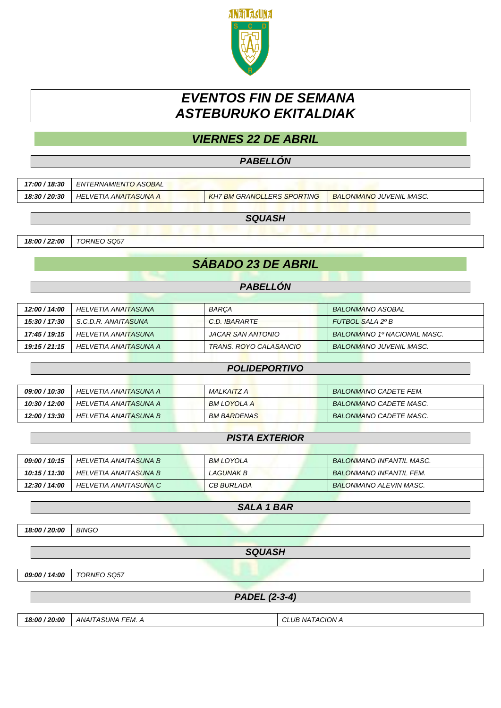

# *EVENTOS FIN DE SEMANA ASTEBURUKO EKITALDIAK*

# *VIERNES 22 DE ABRIL*

### *PABELLÓN*

| 17:00 / 18:30 | ENTERNAMIENTO ASOBAL  |                                   |                                |
|---------------|-----------------------|-----------------------------------|--------------------------------|
| 18:30 / 20:30 | HELVETIA ANAITASUNA A | <b>KH7 BM GRANOLLERS SPORTING</b> | <b>BALONMANO JUVENIL MASC.</b> |

*SQUASH*

*18:00 / 22:00 TORNEO SQ57*

# *SÁBADO 23 DE ABRIL*

## *PABELLÓN*

| 12:00 / 14:00 | HELVETIA ANAITASUNA   | <b>BARCA</b>           | BALONMANO ASOBAL               |
|---------------|-----------------------|------------------------|--------------------------------|
| 15:30 / 17:30 | S.C.D.R. ANAITASUNA   | C.D. IBARARTE          | FUTBOL SALA 2º B               |
| 17:45 / 19:15 | HELVETIA ANAITASUNA   | JACAR SAN ANTONIO      | BALONMANO 1º NACIONAL MASC.    |
| 19:15 / 21:15 | HELVETIA ANAITASUNA A | TRANS, ROYO CALASANCIO | <b>BALONMANO JUVENIL MASC.</b> |

|               | <b>POLIDEPORTIVO</b>  |             |                              |
|---------------|-----------------------|-------------|------------------------------|
|               |                       |             |                              |
| 09:00 / 10:30 | HELVETIA ANAITASUNA A | MALKAITZ A  | <b>BALONMANO CADETE FEM.</b> |
| 10:30 / 12:00 | HELVETIA ANAITASUNA A | BM LOYOLA A | BALONMANO CADETE MASC.       |
| 12:00 / 13:30 | HELVETIA ANAITASUNA B | BM BARDENAS | BALONMANO CADETE MASC.       |

### *PISTA EXTERIOR*

| 09:00 / 10:15 | HELVETIA ANAITASUNA B | BM LOYOLA         | <b>BALONMANO INFANTIL MASC.</b> |
|---------------|-----------------------|-------------------|---------------------------------|
| 10:15 / 11:30 | HELVETIA ANAITASUNA B | LAGUNAK B         | <b>BALONMANO INFANTIL FEM.</b>  |
| 12:30 / 14:00 | HELVETIA ANAITASUNA C | <b>CB BURLADA</b> | <b>BALONMANO ALEVIN MASC.</b>   |

*SALA 1 BAR*

*18:00 / 20:00 BINGO*

*SQUASH*

*09:00 / 14:00 TORNEO SQ57*

*PADEL (2-3-4)*

*18:00 / 20:00 ANAITASUNA FEM. A CLUB NATACION A*